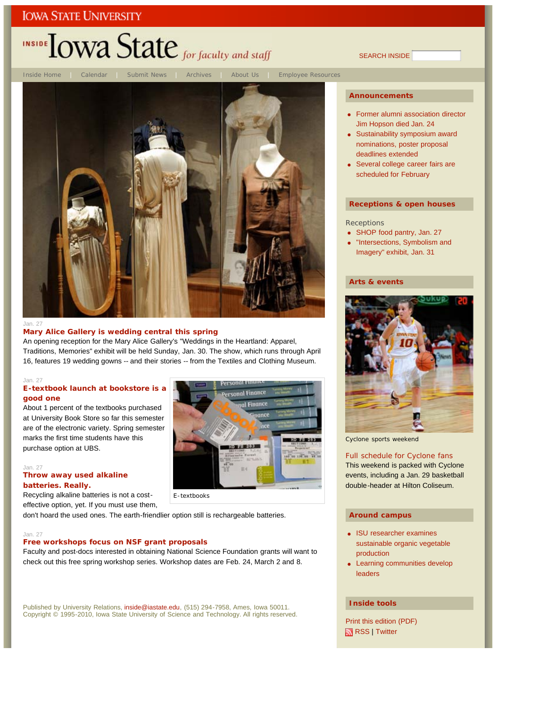# INSIDE TOWA State for faculty and staff

Inside Home | Calendar | Submit News | Archives | About Us | Employee Resources



Jan. 27

### **Mary Alice Gallery is wedding central this spring**

An opening reception for the Mary Alice Gallery's "Weddings in the Heartland: Apparel, Traditions, Memories" exhibit will be held Sunday, Jan. 30. The show, which runs through April 16, features 19 wedding gowns -- and their stories -- from the Textiles and Clothing Museum.

### Jan. 27

### **E-textbook launch at bookstore is a good one**

About 1 percent of the textbooks purchased at University Book Store so far this semester are of the electronic variety. Spring semester marks the first time students have this purchase option at UBS.

#### Jan. 27

### **Throw away used alkaline batteries. Really.**

Recycling alkaline batteries is not a costeffective option, yet. If you must use them,

don't hoard the used ones. The earth-friendlier option still is rechargeable batteries.

#### Jan. 27

#### **Free workshops focus on NSF grant proposals**

Faculty and post-docs interested in obtaining National Science Foundation grants will want to check out this free spring workshop series. Workshop dates are Feb. 24, March 2 and 8.

E-textbooks

Published by University Relations, inside@iastate.edu, (515) 294-7958, Ames, Iowa 50011. Copyright © 1995-2010, Iowa State University of Science and Technology. All rights reserved.

#### **Announcements**

SEARCH INSIDE

- Former alumni association director Jim Hopson died Jan. 24
- Sustainability symposium award nominations, poster proposal deadlines extended
- Several college career fairs are scheduled for February

#### **Receptions & open houses**

#### **Receptions**

- SHOP food pantry, Jan. 27
- "Intersections, Symbolism and Imagery" exhibit, Jan. 31

#### **Arts & events**



Cyclone sports weekend

**BURNINGS** 

 $\sqrt{100 + 196}$  as a

■定期处理

Full schedule for Cyclone fans This weekend is packed with Cyclone events, including a Jan. 29 basketball double-header at Hilton Coliseum.

#### **Around campus**

- ISU researcher examines sustainable organic vegetable production
- Learning communities develop leaders

#### **Inside tools**

Print this edition (PDF) RSS | Twitter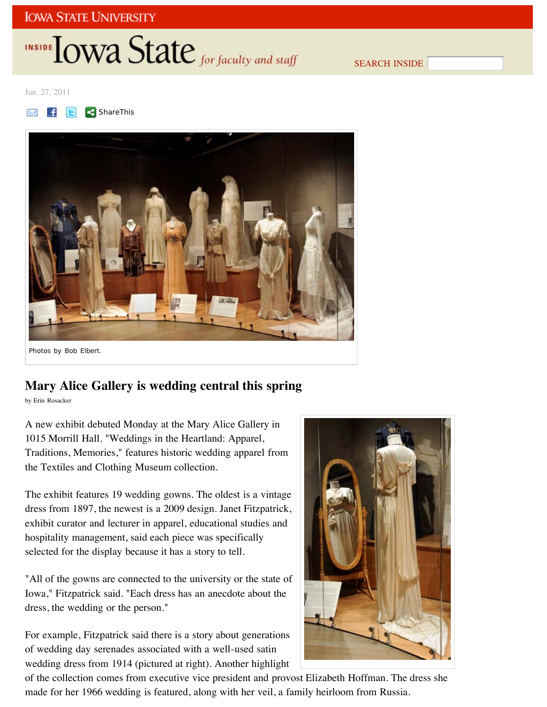# INSIDE **IOWA State** for faculty and staff

SEARCH INSIDE

Jan. 27, 2011





## **Mary Alice Gallery is wedding central this spring**

by Erin Rosacker

A new exhibit debuted Monday at the Mary Alice Gallery in 1015 Morrill Hall. "Weddings in the Heartland: Apparel, Traditions, Memories," features historic wedding apparel from the Textiles and Clothing Museum collection.

The exhibit features 19 wedding gowns. The oldest is a vintage dress from 1897, the newest is a 2009 design. Janet Fitzpatrick, exhibit curator and lecturer in apparel, educational studies and hospitality management, said each piece was specifically selected for the display because it has a story to tell.

"All of the gowns are connected to the university or the state of Iowa," Fitzpatrick said. "Each dress has an anecdote about the dress, the wedding or the person."

For example, Fitzpatrick said there is a story about generations of wedding day serenades associated with a well-used satin wedding dress from 1914 (pictured at right). Another highlight



of the collection comes from executive vice president and provost Elizabeth Hoffman. The dress she made for her 1966 wedding is featured, along with her veil, a family heirloom from Russia.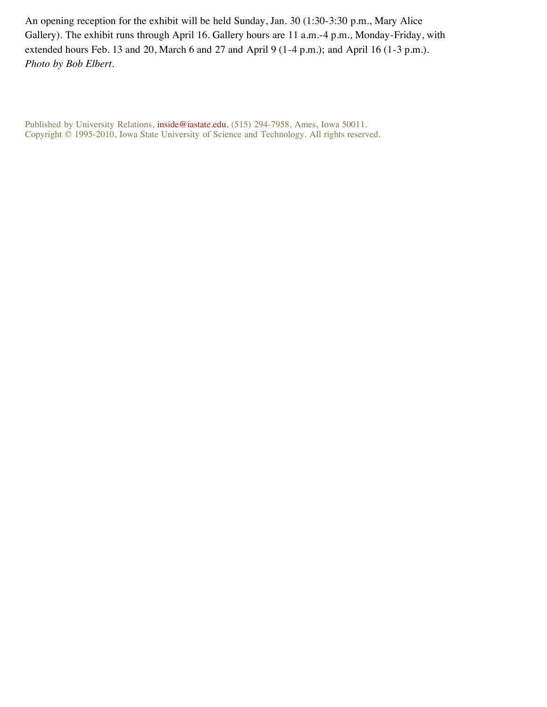An opening reception for the exhibit will be held Sunday, Jan. 30 (1:30-3:30 p.m., Mary Alice Gallery). The exhibit runs through April 16. Gallery hours are 11 a.m.-4 p.m., Monday-Friday, with extended hours Feb. 13 and 20, March 6 and 27 and April 9 (1-4 p.m.); and April 16 (1-3 p.m.). *Photo by Bob Elbert*.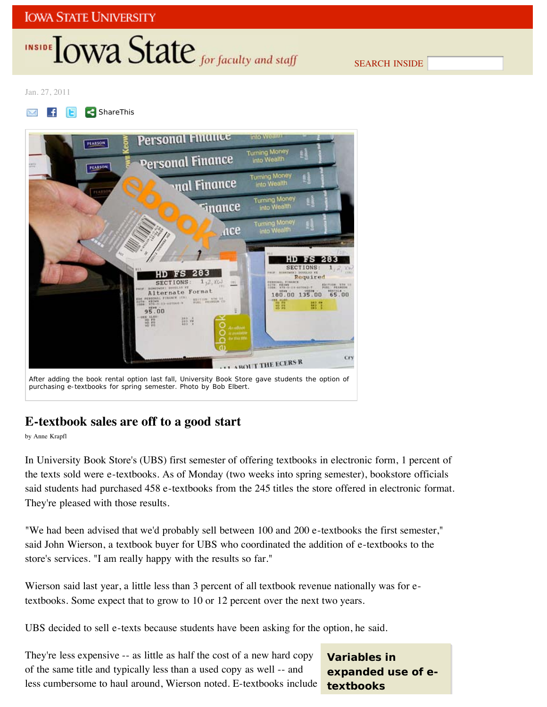# INSIDE **IOWA State** for faculty and staff

SEARCH INSIDE

Jan. 27, 2011

**F E ShareThis** M



## **E-textbook sales are off to a good start**

by Anne Krapfl

In University Book Store's (UBS) first semester of offering textbooks in electronic form, 1 percent of the texts sold were e-textbooks. As of Monday (two weeks into spring semester), bookstore officials said students had purchased 458 e-textbooks from the 245 titles the store offered in electronic format. They're pleased with those results.

"We had been advised that we'd probably sell between 100 and 200 e-textbooks the first semester," said John Wierson, a textbook buyer for UBS who coordinated the addition of e-textbooks to the store's services. "I am really happy with the results so far."

Wierson said last year, a little less than 3 percent of all textbook revenue nationally was for etextbooks. Some expect that to grow to 10 or 12 percent over the next two years.

UBS decided to sell e-texts because students have been asking for the option, he said.

They're less expensive -- as little as half the cost of a new hard copy of the same title and typically less than a used copy as well -- and less cumbersome to haul around, Wierson noted. E-textbooks include

**Variables in expanded use of etextbooks**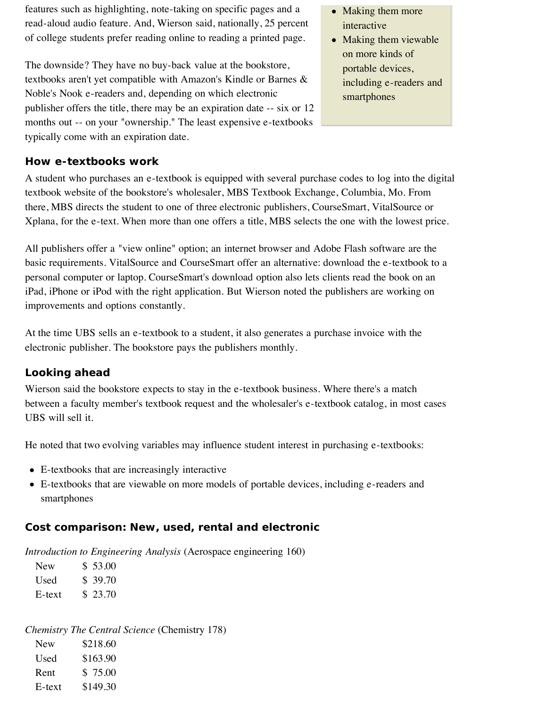features such as highlighting, note-taking on specific pages and a read-aloud audio feature. And, Wierson said, nationally, 25 percent of college students prefer reading online to reading a printed page.

The downside? They have no buy-back value at the bookstore, textbooks aren't yet compatible with Amazon's Kindle or Barnes & Noble's Nook e-readers and, depending on which electronic publisher offers the title, there may be an expiration date -- six or 12 months out -- on your "ownership." The least expensive e-textbooks typically come with an expiration date.

## **How e-textbooks work**

A student who purchases an e-textbook is equipped with several purchase codes to log into the digital textbook website of the bookstore's wholesaler, MBS Textbook Exchange, Columbia, Mo. From there, MBS directs the student to one of three electronic publishers, CourseSmart, VitalSource or Xplana, for the e-text. When more than one offers a title, MBS selects the one with the lowest price.

All publishers offer a "view online" option; an internet browser and Adobe Flash software are the basic requirements. VitalSource and CourseSmart offer an alternative: download the e-textbook to a personal computer or laptop. CourseSmart's download option also lets clients read the book on an iPad, iPhone or iPod with the right application. But Wierson noted the publishers are working on improvements and options constantly.

At the time UBS sells an e-textbook to a student, it also generates a purchase invoice with the electronic publisher. The bookstore pays the publishers monthly.

## **Looking ahead**

Wierson said the bookstore expects to stay in the e-textbook business. Where there's a match between a faculty member's textbook request and the wholesaler's e-textbook catalog, in most cases UBS will sell it.

He noted that two evolving variables may influence student interest in purchasing e-textbooks:

- E-textbooks that are increasingly interactive
- E-textbooks that are viewable on more models of portable devices, including e-readers and smartphones

### **Cost comparison: New, used, rental and electronic**

*Introduction to Engineering Analysis* (Aerospace engineering 160)

| <b>New</b> | \$ 53.00 |
|------------|----------|
| Used       | \$39.70  |
| E-text     | \$23.70  |

*Chemistry The Central Science* (Chemistry 178) New \$218.60 Used \$163.90 Rent \$ 75.00 E-text \$149.30

- Making them more interactive
- Making them viewable on more kinds of portable devices, including e-readers and smartphones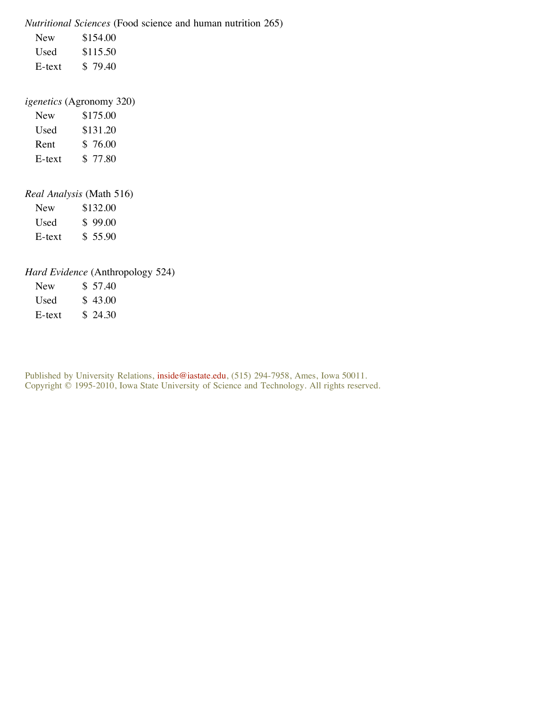*Nutritional Sciences* (Food science and human nutrition 265) New \$154.00 Used \$115.50 E-text \$ 79.40

### *igenetics* (Agronomy 320)

| <b>New</b> | \$175.00 |
|------------|----------|
| Used       | \$131.20 |
| Rent       | \$76.00  |
| E-text     | \$ 77.80 |

## *Real Analysis* (Math 516)

New \$132.00 Used \$ 99.00 E-text \$ 55.90

## *Hard Evidence* (Anthropology 524)

| <b>New</b> | \$ 57.40 |
|------------|----------|
| Used       | \$43.00  |
| E-text     | \$24.30  |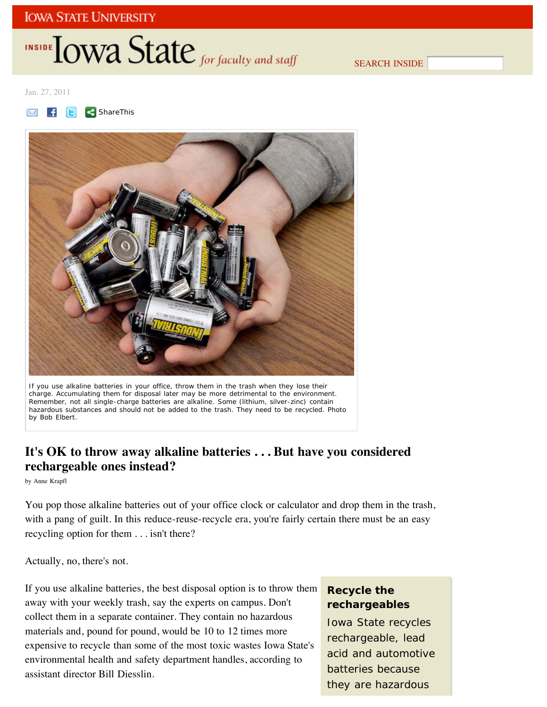# INSIDE **IOWA State** for faculty and staff

SEARCH INSIDE

Jan. 27, 2011





If you use alkaline batteries in your office, throw them in the trash when they lose their charge. Accumulating them for disposal later may be more detrimental to the environment. Remember, not all single-charge batteries are alkaline. Some (lithium, silver-zinc) contain hazardous substances and should not be added to the trash. They need to be recycled. *Photo by Bob Elbert*.

## **It's OK to throw away alkaline batteries . . . But have you considered rechargeable ones instead?**

by Anne Krapfl

You pop those alkaline batteries out of your office clock or calculator and drop them in the trash, with a pang of guilt. In this reduce-reuse-recycle era, you're fairly certain there must be an easy recycling option for them . . . isn't there?

Actually, no, there's not.

If you use alkaline batteries, the best disposal option is to throw them away with your weekly trash, say the experts on campus. Don't collect them in a separate container. They contain no hazardous materials and, pound for pound, would be 10 to 12 times more expensive to recycle than some of the most toxic wastes Iowa State's environmental health and safety department handles, according to assistant director Bill Diesslin.

## **Recycle the rechargeables**

Iowa State recycles rechargeable, lead acid and automotive batteries because they are hazardous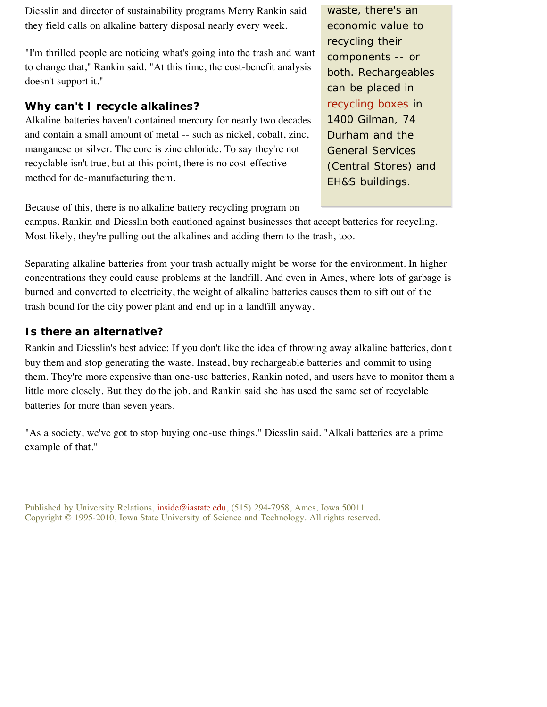Diesslin and director of sustainability programs Merry Rankin said they field calls on alkaline battery disposal nearly every week.

"I'm thrilled people are noticing what's going into the trash and want to change that," Rankin said. "At this time, the cost-benefit analysis doesn't support it."

## **Why can't I recycle alkalines?**

Alkaline batteries haven't contained mercury for nearly two decades and contain a small amount of metal -- such as nickel, cobalt, zinc, manganese or silver. The core is zinc chloride. To say they're not recyclable isn't true, but at this point, there is no cost-effective method for de-manufacturing them.

waste, there's an economic value to recycling their components -- or both. Rechargeables can be placed in recycling boxes in 1400 Gilman, 74 Durham and the General Services (Central Stores) and EH&S buildings.

Because of this, there is no alkaline battery recycling program on

campus. Rankin and Diesslin both cautioned against businesses that accept batteries for recycling. Most likely, they're pulling out the alkalines and adding them to the trash, too.

Separating alkaline batteries from your trash actually might be worse for the environment. In higher concentrations they could cause problems at the landfill. And even in Ames, where lots of garbage is burned and converted to electricity, the weight of alkaline batteries causes them to sift out of the trash bound for the city power plant and end up in a landfill anyway.

## **Is there an alternative?**

Rankin and Diesslin's best advice: If you don't like the idea of throwing away alkaline batteries, don't buy them and stop generating the waste. Instead, buy rechargeable batteries and commit to using them. They're more expensive than one-use batteries, Rankin noted, and users have to monitor them a little more closely. But they do the job, and Rankin said she has used the same set of recyclable batteries for more than seven years.

"As a society, we've got to stop buying one-use things," Diesslin said. "Alkali batteries are a prime example of that."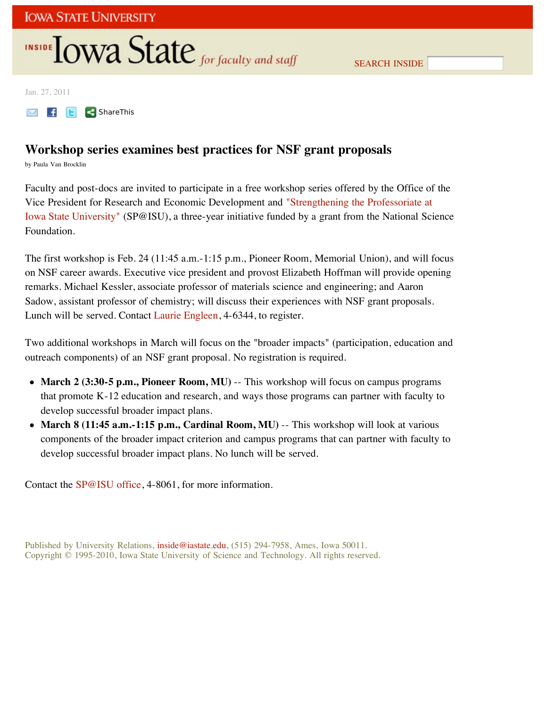# INSIDE **LOWA State** for faculty and staff

Jan. 27, 2011

**M f F ShareThis** 

## **Workshop series examines best practices for NSF grant proposals**

by Paula Van Brocklin

Faculty and post-docs are invited to participate in a free workshop series offered by the Office of the Vice President for Research and Economic Development and "Strengthening the Professoriate at Iowa State University" (SP@ISU), a three-year initiative funded by a grant from the National Science Foundation.

The first workshop is Feb. 24 (11:45 a.m.-1:15 p.m., Pioneer Room, Memorial Union), and will focus on NSF career awards. Executive vice president and provost Elizabeth Hoffman will provide opening remarks. Michael Kessler, associate professor of materials science and engineering; and Aaron Sadow, assistant professor of chemistry; will discuss their experiences with NSF grant proposals. Lunch will be served. Contact Laurie Engleen, 4-6344, to register.

Two additional workshops in March will focus on the "broader impacts" (participation, education and outreach components) of an NSF grant proposal. No registration is required.

- March 2 (3:30-5 p.m., Pioneer Room, MU) -- This workshop will focus on campus programs that promote K-12 education and research, and ways those programs can partner with faculty to develop successful broader impact plans.
- **March 8 (11:45 a.m.-1:15 p.m., Cardinal Room, MU)** -- This workshop will look at various components of the broader impact criterion and campus programs that can partner with faculty to develop successful broader impact plans. No lunch will be served.

Contact the SP@ISU office, 4-8061, for more information.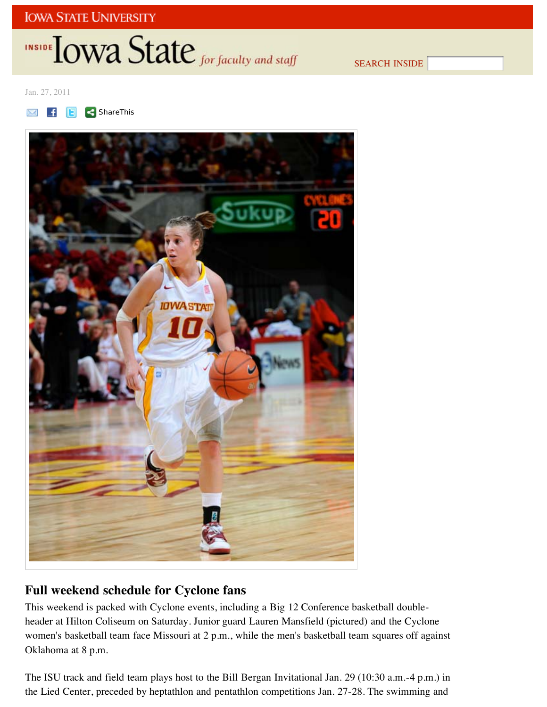# INSIDE LOWA State for faculty and staff

SEARCH INSIDE

Jan. 27, 2011





# **Full weekend schedule for Cyclone fans**

This weekend is packed with Cyclone events, including a Big 12 Conference basketball doubleheader at Hilton Coliseum on Saturday. Junior guard Lauren Mansfield (pictured) and the Cyclone women's basketball team face Missouri at 2 p.m., while the men's basketball team squares off against Oklahoma at 8 p.m.

The ISU track and field team plays host to the Bill Bergan Invitational Jan. 29 (10:30 a.m.-4 p.m.) in the Lied Center, preceded by heptathlon and pentathlon competitions Jan. 27-28. The swimming and